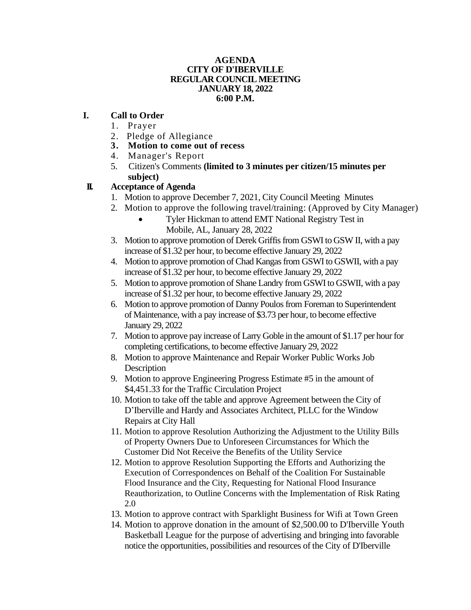#### **AGENDA CITY OF D'IBERVILLE REGULAR COUNCIL MEETING JANUARY 18, 2022 6:00 P.M.**

### **I. Call to Order**

- 1. Prayer
- 2. Pledge of Allegiance
- **3. Motion to come out of recess**
- 4. Manager's Report
- 5. Citizen's Comments **(limited to 3 minutes per citizen/15 minutes per subject)**

# **II. Acceptance of Agenda**

- 1. Motion to approve December 7, 2021, City Council Meeting Minutes
- 2. Motion to approve the following travel/training: (Approved by City Manager)
	- Tyler Hickman to attend EMT National Registry Test in Mobile, AL, January 28, 2022
- 3. Motion to approve promotion of Derek Griffis from GSWI to GSW II, with a pay increase of \$1.32 per hour, to become effective January 29, 2022
- 4. Motion to approve promotion of Chad Kangas from GSWI to GSWII, with a pay increase of \$1.32 per hour, to become effective January 29, 2022
- 5. Motion to approve promotion of Shane Landry from GSWI to GSWII, with a pay increase of \$1.32 per hour, to become effective January 29, 2022
- 6. Motion to approve promotion of Danny Poulos from Foreman to Superintendent of Maintenance, with a pay increase of \$3.73 per hour, to become effective January 29, 2022
- 7. Motion to approve pay increase of Larry Goble in the amount of \$1.17 per hour for completing certifications, to become effective January 29, 2022
- 8. Motion to approve Maintenance and Repair Worker Public Works Job Description
- 9. Motion to approve Engineering Progress Estimate #5 in the amount of \$4,451.33 for the Traffic Circulation Project
- 10. Motion to take off the table and approve Agreement between the City of D'Iberville and Hardy and Associates Architect, PLLC for the Window Repairs at City Hall
- 11. Motion to approve Resolution Authorizing the Adjustment to the Utility Bills of Property Owners Due to Unforeseen Circumstances for Which the Customer Did Not Receive the Benefits of the Utility Service
- 12. Motion to approve Resolution Supporting the Efforts and Authorizing the Execution of Correspondences on Behalf of the Coalition For Sustainable Flood Insurance and the City, Requesting for National Flood Insurance Reauthorization, to Outline Concerns with the Implementation of Risk Rating 2.0
- 13. Motion to approve contract with Sparklight Business for Wifi at Town Green
- 14. Motion to approve donation in the amount of \$2,500.00 to D'Iberville Youth Basketball League for the purpose of advertising and bringing into favorable notice the opportunities, possibilities and resources of the City of D'Iberville